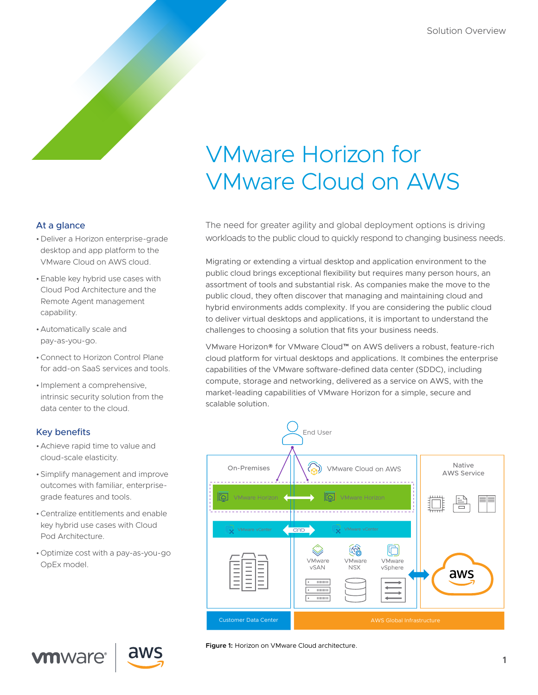# VMware Horizon for VMware Cloud on AWS

## At a glance

- •Deliver a Horizon enterprise-grade desktop and app platform to the VMware Cloud on AWS cloud.
- •Enable key hybrid use cases with Cloud Pod Architecture and the Remote Agent management capability.
- •Automatically scale and pay-as-you-go.
- •Connect to Horizon Control Plane for add-on SaaS services and tools.
- Implement a comprehensive, intrinsic security solution from the data center to the cloud.

# Key benefits

**vm**ware<sup>®</sup>

- •Achieve rapid time to value and cloud-scale elasticity.
- •Simplify management and improve outcomes with familiar, enterprisegrade features and tools.
- •Centralize entitlements and enable key hybrid use cases with Cloud Pod Architecture.
- •Optimize cost with a pay-as-you-go OpEx model.

The need for greater agility and global deployment options is driving workloads to the public cloud to quickly respond to changing business needs.

Migrating or extending a virtual desktop and application environment to the public cloud brings exceptional flexibility but requires many person hours, an assortment of tools and substantial risk. As companies make the move to the public cloud, they often discover that managing and maintaining cloud and hybrid environments adds complexity. If you are considering the public cloud to deliver virtual desktops and applications, it is important to understand the challenges to choosing a solution that fits your business needs.

VMware Horizon® for VMware Cloud™ on AWS delivers a robust, feature-rich cloud platform for virtual desktops and applications. It combines the enterprise capabilities of the VMware software-defined data center (SDDC), including compute, storage and networking, delivered as a service on AWS, with the market-leading capabilities of VMware Horizon for a simple, secure and scalable solution.



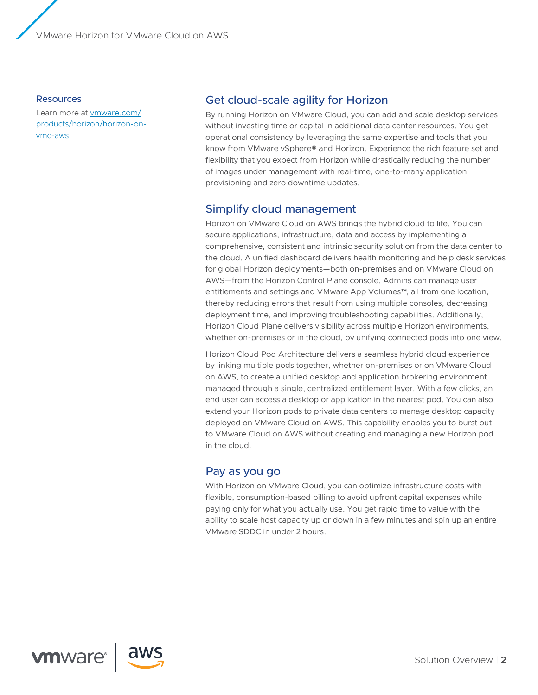VMware Horizon for VMware Cloud on AWS

#### Resources

Learn more at [vmware.com/](https://www.vmware.com/products/horizon/horizon-on-vmc-aws.html) [products/horizon/horizon-on](https://www.vmware.com/products/horizon/horizon-on-vmc-aws.html)[vmc-aws](https://www.vmware.com/products/horizon/horizon-on-vmc-aws.html).

# Get cloud-scale agility for Horizon

By running Horizon on VMware Cloud, you can add and scale desktop services without investing time or capital in additional data center resources. You get operational consistency by leveraging the same expertise and tools that you know from VMware vSphere® and Horizon. Experience the rich feature set and flexibility that you expect from Horizon while drastically reducing the number of images under management with real-time, one-to-many application provisioning and zero downtime updates.

# Simplify cloud management

Horizon on VMware Cloud on AWS brings the hybrid cloud to life. You can secure applications, infrastructure, data and access by implementing a comprehensive, consistent and intrinsic security solution from the data center to the cloud. A unified dashboard delivers health monitoring and help desk services for global Horizon deployments—both on-premises and on VMware Cloud on AWS—from the Horizon Control Plane console. Admins can manage user entitlements and settings and VMware App Volumes™, all from one location, thereby reducing errors that result from using multiple consoles, decreasing deployment time, and improving troubleshooting capabilities. Additionally, Horizon Cloud Plane delivers visibility across multiple Horizon environments, whether on-premises or in the cloud, by unifying connected pods into one view.

Horizon Cloud Pod Architecture delivers a seamless hybrid cloud experience by linking multiple pods together, whether on-premises or on VMware Cloud on AWS, to create a unified desktop and application brokering environment managed through a single, centralized entitlement layer. With a few clicks, an end user can access a desktop or application in the nearest pod. You can also extend your Horizon pods to private data centers to manage desktop capacity deployed on VMware Cloud on AWS. This capability enables you to burst out to VMware Cloud on AWS without creating and managing a new Horizon pod in the cloud.

# Pay as you go

With Horizon on VMware Cloud, you can optimize infrastructure costs with flexible, consumption-based billing to avoid upfront capital expenses while paying only for what you actually use. You get rapid time to value with the ability to scale host capacity up or down in a few minutes and spin up an entire VMware SDDC in under 2 hours.